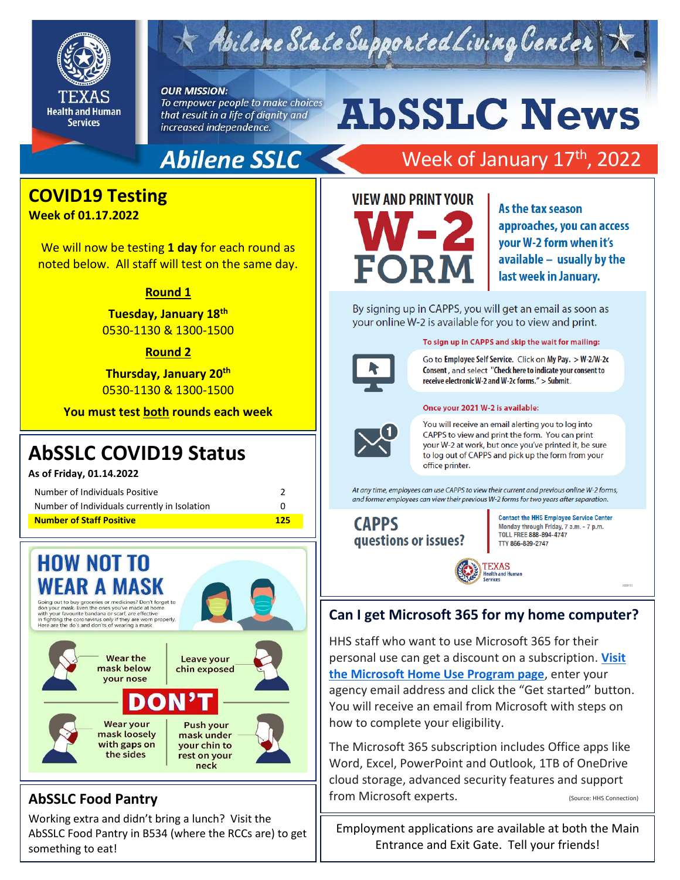

# Abilene State Supported Living Center

#### **OUR MISSION:**

To empower people to make choices that result in a life of dignity and increased independence.

# **AbSSLC News**

## **Abilene SSLC**

# Week of January 17<sup>th</sup>, 2022



As the tax season approaches, you can access vour W-2 form when it's available - usually by the last week in January.

By signing up in CAPPS, you will get an email as soon as your online W-2 is available for you to view and print.

#### To sign up in CAPPS and skip the wait for mailing:



Go to Employee Self Service. Click on My Pay. > W-2/W-2c Consent, and select "Check here to indicate your consent to receive electronic W-2 and W-2c forms." > Submit.

#### Once your 2021 W-2 is available:



You will receive an email alerting you to log into CAPPS to view and print the form. You can print your W-2 at work, but once you've printed it, be sure<br>to log out of CAPPS and pick up the form from your office printer.

At any time, employees can use CAPPS to view their current and previous online W-2 forms, and former employees can view their previous W-2 forms for two years after separation.

#### **CAPPS** questions or issues?

**Contact the HHS Employee Service Center** Monday through Friday, 7 a.m. - 7 p.m. TOLL FREE 888-894-4747 TTY 866-839-2747



#### **Can I get Microsoft 365 for my home computer?**

HHS staff who want to use Microsoft 365 for their personal use can get a discount on a subscription. **[Visit](https://www.microsoft.com/en-us/home-use-program?rtc=1)  [the Microsoft Home Use Program page](https://www.microsoft.com/en-us/home-use-program?rtc=1)**, enter your agency email address and click the "Get started" button. You will receive an email from Microsoft with steps on how to complete your eligibility.

The Microsoft 365 subscription includes Office apps like Word, Excel, PowerPoint and Outlook, 1TB of OneDrive cloud storage, advanced security features and support **AbSSLC Food Pantry Four AbSSLC Food Pantry Four AbSSLC Food Pantry Four AbSSLC** For **Formection** 

> Employment applications are available at both the Main Entrance and Exit Gate. Tell your friends!

### **COVID19 Testing**

**Week of 01.17.2022**

We will now be testing **1 day** for each round as noted below. All staff will test on the same day.

#### **Round 1**

**Tuesday, January 18 th** 0530-1130 & 1300-1500

#### **Round 2**

**Thursday, January 20th** 0530-1130 & 1300-1500

**You must test both rounds each week**

# **AbSSLC COVID19 Status**

**As of Friday, 01.14.2022**

| Number of Individuals Positive               |     |
|----------------------------------------------|-----|
| Number of Individuals currently in Isolation |     |
| <b>Number of Staff Positive</b>              | 125 |



Working extra and didn't bring a lunch? Visit the AbSSLC Food Pantry in B534 (where the RCCs are) to get something to eat!